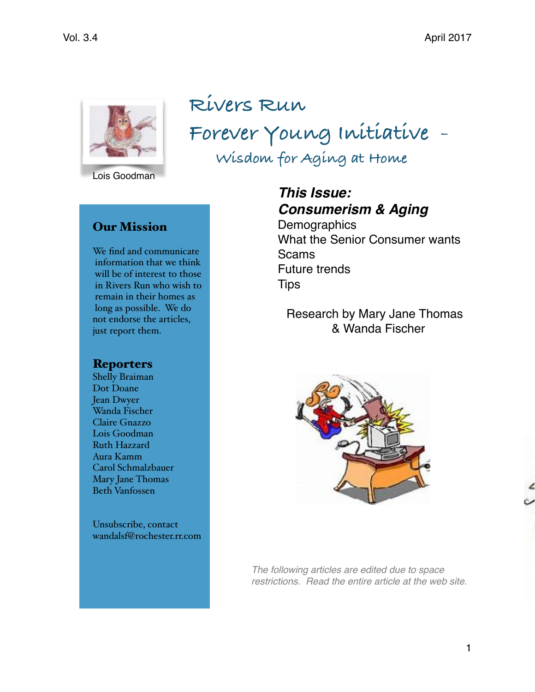

**Rivers Run Forever Young Initiative - Wisdom for Aging at Home**

Lois Goodman

### Our Mission

We find and communicate information that we think will be of interest to those in Rivers Run who wish to remain in their homes as long as possible. We do not endorse the articles, just report them.

### **Reporters**

Shelly Braiman Dot Doane Jean Dwyer Wanda Fischer Claire Gnazzo Lois Goodman Ruth Hazzard Aura Kamm Carol Schmalzbauer Mary Jane Thomas Beth Vanfossen

Unsubscribe, contact [wandalsf@rochester.rr.com](mailto:wandalsf@rochester.rr.com?subject=)

*This Issue: Consumerism & Aging* **Demographics** 

What the Senior Consumer wants Scams Future trends **Tips** 

Research by Mary Jane Thomas & Wanda Fischer



*The following articles are edited due to space restrictions. Read the entire article at the web site.*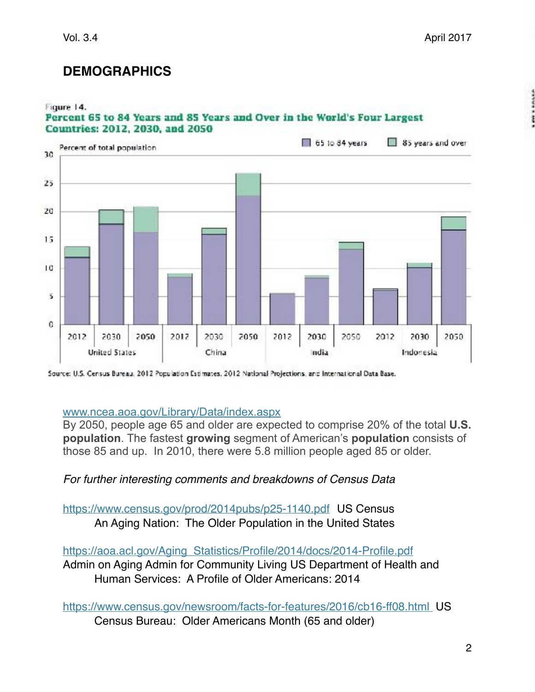# **DEMOGRAPHICS**

#### Figure 14. Percent 65 to 84 Years and 85 Years and Over in the World's Four Largest **Countries: 2012, 2030, and 2050**



Source: U.S. Census Bureau, 2012 Population Estimates, 2012 National Projections, and International Data Base.

### [www.ncea.aoa.gov/L](http://www.ncea.aoa.gov/)ibrary/Data/index.aspx

By 2050, people age 65 and older are expected to comprise 20% of the total **U.S. population**. The fastest **growing** segment of American's **population** consists of those 85 and up. In 2010, there were 5.8 million people aged 85 or older.

## *For further interesting comments and breakdowns of Census Data*

<https://www.census.gov/prod/2014pubs/p25-1140.pdf>US Census An Aging Nation: The Older Population in the United States

[https://aoa.acl.gov/Aging\\_Statistics/Profile/2014/docs/2014-Profile.pdf](https://aoa.acl.gov/Aging_Statistics/Profile/2014/docs/2014-Profile.pdf) Admin on Aging Admin for Community Living US Department of Health and Human Services: A Profile of Older Americans: 2014

<https://www.census.gov/newsroom/facts-for-features/2016/cb16-ff08.html>US Census Bureau: Older Americans Month (65 and older)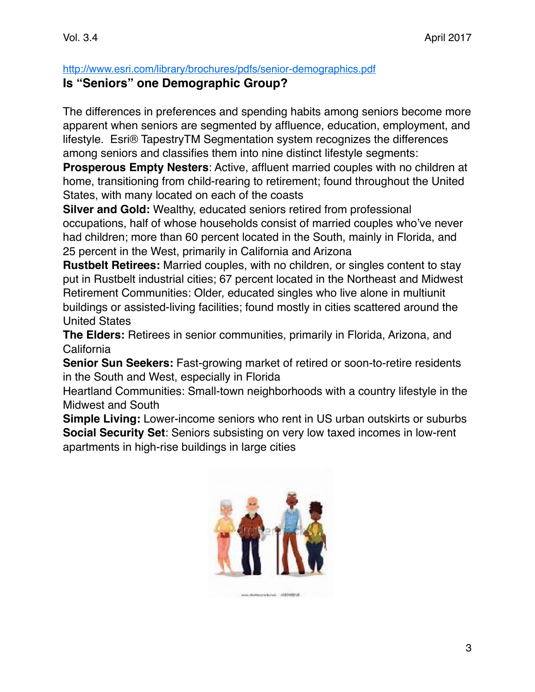<http://www.esri.com/library/brochures/pdfs/senior-demographics.pdf>

## **Is "Seniors" one Demographic Group?**

The differences in preferences and spending habits among seniors become more apparent when seniors are segmented by affluence, education, employment, and lifestyle. Esri® TapestryTM Segmentation system recognizes the differences among seniors and classifies them into nine distinct lifestyle segments:

**Prosperous Empty Nesters**: Active, affluent married couples with no children at home, transitioning from child-rearing to retirement; found throughout the United States, with many located on each of the coasts

**Silver and Gold:** Wealthy, educated seniors retired from professional occupations, half of whose households consist of married couples who've never had children; more than 60 percent located in the South, mainly in Florida, and 25 percent in the West, primarily in California and Arizona

**Rustbelt Retirees:** Married couples, with no children, or singles content to stay put in Rustbelt industrial cities; 67 percent located in the Northeast and Midwest Retirement Communities: Older, educated singles who live alone in multiunit buildings or assisted-living facilities; found mostly in cities scattered around the United States

**The Elders:** Retirees in senior communities, primarily in Florida, Arizona, and California

**Senior Sun Seekers:** Fast-growing market of retired or soon-to-retire residents in the South and West, especially in Florida

Heartland Communities: Small-town neighborhoods with a country lifestyle in the Midwest and South

**Simple Living:** Lower-income seniors who rent in US urban outskirts or suburbs **Social Security Set**: Seniors subsisting on very low taxed incomes in low-rent apartments in high‐rise buildings in large cities

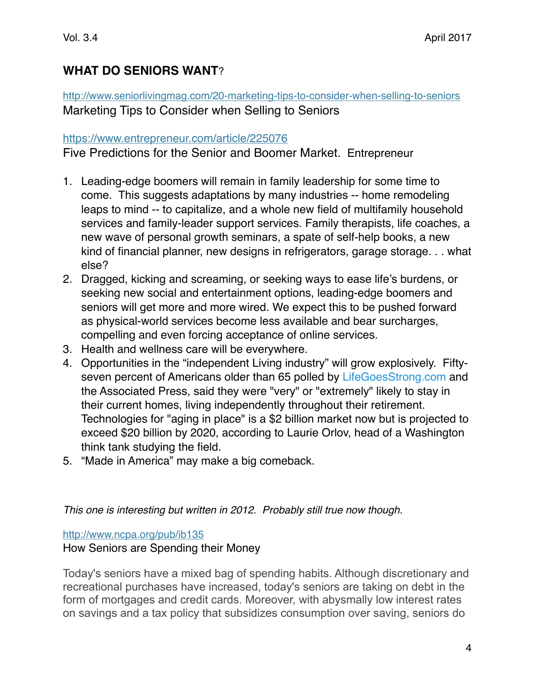# **WHAT DO SENIORS WANT**?

<http://www.seniorlivingmag.com/20-marketing-tips-to-consider-when-selling-to-seniors> Marketing Tips to Consider when Selling to Seniors

#### <https://www.entrepreneur.com/article/225076>

Five Predictions for the Senior and Boomer Market. Entrepreneur

- 1. Leading-edge boomers will remain in family leadership for some time to come. This suggests adaptations by many industries -- home remodeling leaps to mind -- to capitalize, and a whole new field of multifamily household services and family-leader support services. Family therapists, life coaches, a new wave of personal growth seminars, a spate of self-help books, a new kind of financial planner, new designs in refrigerators, garage storage. . . what else?
- 2. Dragged, kicking and screaming, or seeking ways to ease life's burdens, or seeking new social and entertainment options, leading-edge boomers and seniors will get more and more wired. We expect this to be pushed forward as physical-world services become less available and bear surcharges, compelling and even forcing acceptance of online services.
- 3. Health and wellness care will be everywhere.
- 4. Opportunities in the "independent Living industry" will grow explosively. Fiftyseven percent of Americans older than 65 polled by [LifeGoesStrong.com](http://www.lifegoesstrong.com/) and the Associated Press, said they were "very" or "extremely" likely to stay in their current homes, living independently throughout their retirement. Technologies for "aging in place" is a \$2 billion market now but is projected to exceed \$20 billion by 2020, according to Laurie Orlov, head of a Washington think tank studying the field.
- 5. "Made in America" may make a big comeback.

*This one is interesting but written in 2012. Probably still true now though.*

<http://www.ncpa.org/pub/ib135>

### How Seniors are Spending their Money

Today's seniors have a mixed bag of spending habits. Although discretionary and recreational purchases have increased, today's seniors are taking on debt in the form of mortgages and credit cards. Moreover, with abysmally low interest rates on savings and a tax policy that subsidizes consumption over saving, seniors do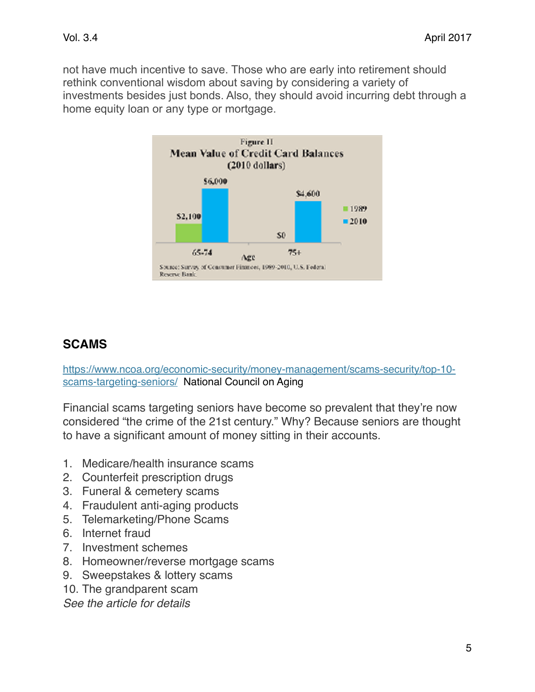not have much incentive to save. Those who are early into retirement should rethink conventional wisdom about saving by considering a variety of investments besides just bonds. Also, they should avoid incurring debt through a home equity loan or any type or mortgage.



# **SCAMS**

[https://www.ncoa.org/economic-security/money-management/scams-security/top-10](https://www.ncoa.org/economic-security/money-management/scams-security/top-10-scams-targeting-seniors/) [scams-targeting-seniors/](https://www.ncoa.org/economic-security/money-management/scams-security/top-10-scams-targeting-seniors/) National Council on Aging

Financial scams targeting seniors have become so prevalent that they're now considered "the crime of the 21st century." Why? Because seniors are thought to have a significant amount of money sitting in their accounts.

- 1. Medicare/health insurance scams
- 2. Counterfeit prescription drugs
- 3. Funeral & cemetery scams
- 4. Fraudulent anti-aging products
- 5. Telemarketing/Phone Scams
- 6. Internet fraud
- 7. Investment schemes
- 8. Homeowner/reverse mortgage scams
- 9. Sweepstakes & lottery scams
- 10. The grandparent scam

*See the article for details*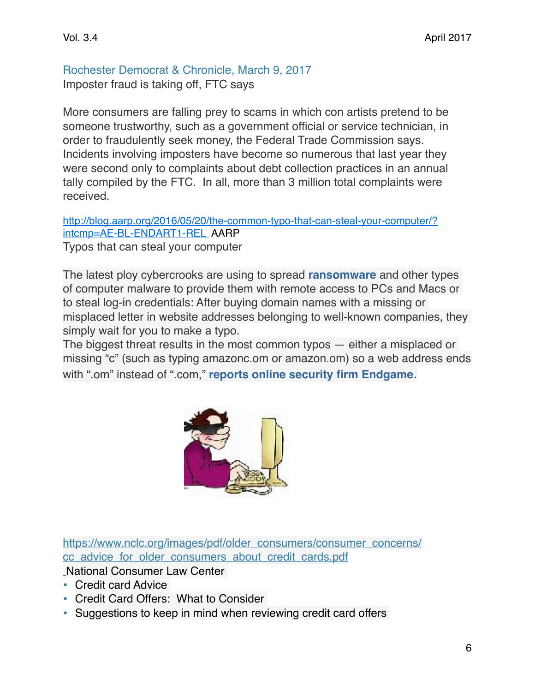Rochester Democrat & Chronicle, March 9, 2017 Imposter fraud is taking off, FTC says

More consumers are falling prey to scams in which con artists pretend to be someone trustworthy, such as a government official or service technician, in order to fraudulently seek money, the Federal Trade Commission says. Incidents involving imposters have become so numerous that last year they were second only to complaints about debt collection practices in an annual tally compiled by the FTC. In all, more than 3 million total complaints were received.

[http://blog.aarp.org/2016/05/20/the-common-typo-that-can-steal-your-computer/?](http://blog.aarp.org/2016/05/20/the-common-typo-that-can-steal-your-computer/?intcmp=AE-BL-ENDART1-REL) [intcmp=AE-BL-ENDART1-REL](http://blog.aarp.org/2016/05/20/the-common-typo-that-can-steal-your-computer/?intcmp=AE-BL-ENDART1-REL) AARP

Typos that can steal your computer

The latest ploy cybercrooks are using to spread **[ransomware](http://blog.aarp.org/2016/05/06/new-threats-in-ransomware/?intcmp=AE-BL-IL-BL)** and other types of computer malware to provide them with remote access to PCs and Macs or to steal log-in credentials: After buying domain names with a missing or misplaced letter in website addresses belonging to well-known companies, they simply wait for you to make a typo.

The biggest threat results in the most common typos — either a misplaced or missing "c" (such as typing amazonc.om or amazon.om) so a web address ends with ".om" instead of ".com," **[reports online security firm Endgame](https://www.endgame.com/blog/what-does-oman-house-cards-and-typosquatting-have-common-om-domain-and-dangers-typosquatting)**.



[https://www.nclc.org/images/pdf/older\\_consumers/consumer\\_concerns/](https://www.nclc.org/images/pdf/older_consumers/consumer_concerns/cc_advice_for_older_consumers_about_credit_cards.pdf) [cc\\_advice\\_for\\_older\\_consumers\\_about\\_credit\\_cards.pdf](https://www.nclc.org/images/pdf/older_consumers/consumer_concerns/cc_advice_for_older_consumers_about_credit_cards.pdf)

National Consumer Law Center

- Credit card Advice
- Credit Card Offers: What to Consider
- Suggestions to keep in mind when reviewing credit card offers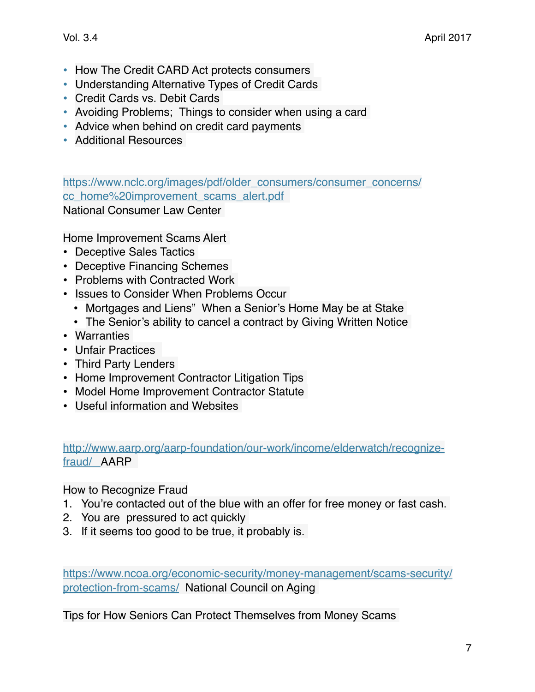- How The Credit CARD Act protects consumers
- Understanding Alternative Types of Credit Cards
- Credit Cards vs. Debit Cards
- Avoiding Problems; Things to consider when using a card
- Advice when behind on credit card payments
- Additional Resources

[https://www.nclc.org/images/pdf/older\\_consumers/consumer\\_concerns/](https://www.nclc.org/images/pdf/older_consumers/consumer_concerns/cc_home%20improvement_scams_alert.pdf) cc\_home%20improvement\_scams\_alert.pdf

National Consumer Law Center

Home Improvement Scams Alert

- Deceptive Sales Tactics
- Deceptive Financing Schemes
- Problems with Contracted Work
- Issues to Consider When Problems Occur
	- Mortgages and Liens" When a Senior's Home May be at Stake
	- The Senior's ability to cancel a contract by Giving Written Notice
- Warranties
- Unfair Practices
- Third Party Lenders
- Home Improvement Contractor Litigation Tips
- Model Home Improvement Contractor Statute
- Useful information and Websites

[http://www.aarp.org/aarp-foundation/our-work/income/elderwatch/recognize](http://www.aarp.org/aarp-foundation/our-work/income/elderwatch/recognize-fraud/)[fraud/](http://www.aarp.org/aarp-foundation/our-work/income/elderwatch/recognize-fraud/) AARP

How to Recognize Fraud

- 1. You're contacted out of the blue with an offer for free money or fast cash.
- 2. You are pressured to act quickly
- 3. If it seems too good to be true, it probably is.

[https://www.ncoa.org/economic-security/money-management/scams-security/](https://www.ncoa.org/economic-security/money-management/scams-security/protection-from-scams/) [protection-from-scams/](https://www.ncoa.org/economic-security/money-management/scams-security/protection-from-scams/) National Council on Aging

Tips for How Seniors Can Protect Themselves from Money Scams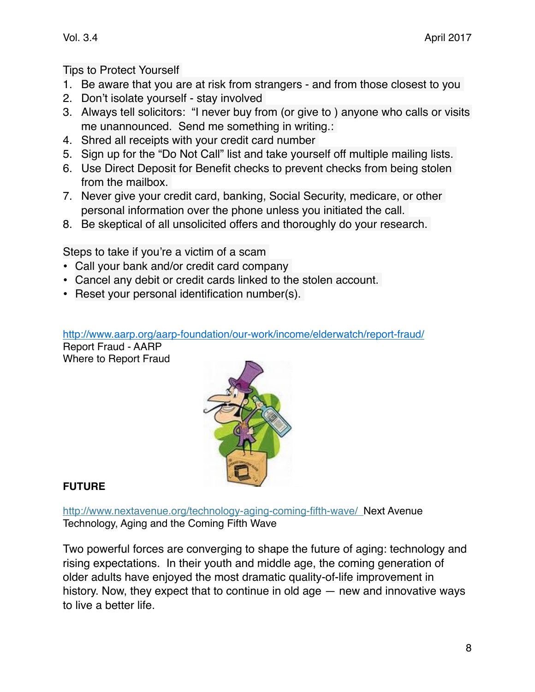### Tips to Protect Yourself

- 1. Be aware that you are at risk from strangers and from those closest to you
- 2. Don't isolate yourself stay involved
- 3. Always tell solicitors: "I never buy from (or give to ) anyone who calls or visits me unannounced. Send me something in writing.:
- 4. Shred all receipts with your credit card number
- 5. Sign up for the "Do Not Call" list and take yourself off multiple mailing lists.
- 6. Use Direct Deposit for Benefit checks to prevent checks from being stolen from the mailbox.
- 7. Never give your credit card, banking, Social Security, medicare, or other personal information over the phone unless you initiated the call.
- 8. Be skeptical of all unsolicited offers and thoroughly do your research.

Steps to take if you're a victim of a scam

- Call your bank and/or credit card company
- Cancel any debit or credit cards linked to the stolen account.
- Reset your personal identification number(s).

#### <http://www.aarp.org/aarp-foundation/our-work/income/elderwatch/report-fraud/>

Report Fraud - AARP Where to Report Fraud



### **FUTURE**

<http://www.nextavenue.org/technology-aging-coming-fifth-wave/>Next Avenue Technology, Aging and the Coming Fifth Wave

Two powerful forces are converging to shape the [future of aging](http://www.nextavenue.org/new-model-future-aging/): technology and rising expectations. In their youth and middle age, the coming generation of older adults have enjoyed the most dramatic quality-of-life improvement in history. Now, they expect that to continue in old age — new and innovative ways to live a better life.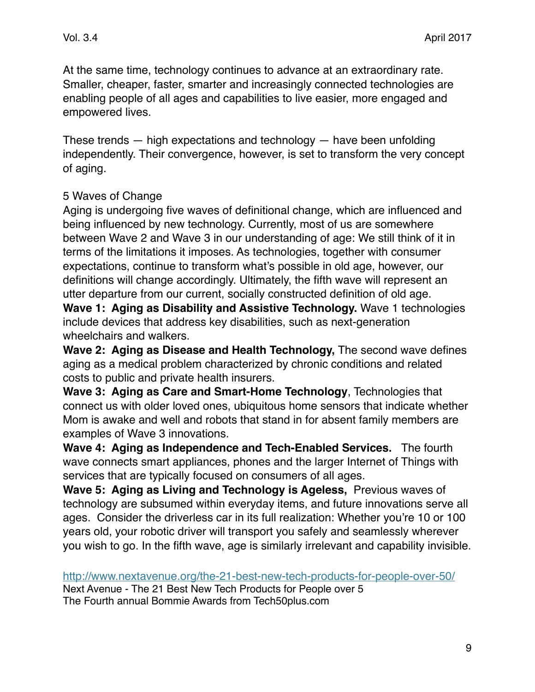At the same time, technology continues to advance at an extraordinary rate. Smaller, cheaper, faster, smarter and increasingly connected technologies are enabling people of all ages and capabilities to live easier, more engaged and empowered lives.

These trends  $-$  high expectations and technology  $-$  have been unfolding independently. Their convergence, however, is set to transform the very concept of aging.

## 5 Waves of Change

Aging is undergoing five waves of definitional change, which are influenced and being influenced by new technology. Currently, most of us are somewhere between Wave 2 and Wave 3 in our understanding of age: We still think of it in terms of the limitations it imposes. As technologies, together with consumer expectations, continue to transform what's possible in old age, however, our definitions will change accordingly. Ultimately, the fifth wave will represent an utter departure from our current, socially constructed definition of old age. **Wave 1: Aging as Disability and Assistive Technology.** Wave 1 technologies include devices that address key disabilities, such as next-generation

wheelchairs and walkers.

**Wave 2: Aging as Disease and Health Technology,** The second wave defines aging as a medical problem characterized by [chronic conditions](http://www.nextavenue.org/the-best-treatments-for-chronic-pain/) and related costs to public and private health insurers.

**Wave 3: Aging as Care and Smart-Home Technology**, Technologies that connect us with older loved ones, ubiquitous [home sensors](http://www.nextavenue.org/technology-older-adults-safety-intrusion/) that indicate whether Mom is awake and well and robots that stand in for absent family members are examples of Wave 3 innovations.

**Wave 4: Aging as Independence and Tech-Enabled Services.** The fourth wave connects smart appliances, phones and the larger [Internet of Things](http://www.nextavenue.org/technology-older-adults-safety-intrusion/) with services that are typically focused on consumers of all ages.

**Wave 5: Aging as Living and Technology is Ageless,** Previous waves of technology are subsumed within everyday items, and future innovations serve all ages. Consider the [driverless car](http://www.nextavenue.org/futurists-predict-what-boomers-will-live-to-see/) in its full realization: Whether you're 10 or 100 years old, your robotic driver will transport you safely and seamlessly wherever you wish to go. In the fifth wave, age is similarly irrelevant and capability invisible.

http://www.nextavenue.org/the-21-best-new-tech-products-for-people-over-50/

Next Avenue - The 21 Best New Tech Products for People over 5 The Fourth annual Bommie Awards from Tech50plus.com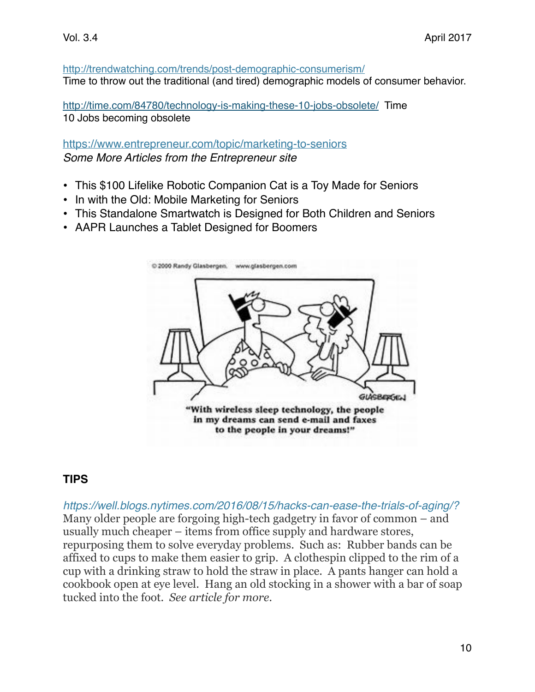#### <http://trendwatching.com/trends/post-demographic-consumerism/> Time to throw out the traditional (and tired) demographic models of consumer behavior.

<http://time.com/84780/technology-is-making-these-10-jobs-obsolete/>Time 10 Jobs becoming obsolete

#### <https://www.entrepreneur.com/topic/marketing-to-seniors> *Some More Articles from the Entrepreneur site*

- This \$100 Lifelike Robotic Companion Cat is a Toy Made for Seniors
- In with the Old: Mobile Marketing for Seniors
- This Standalone Smartwatch is Designed for Both Children and Seniors
- AAPR Launches a Tablet Designed for Boomers



## **TIPS**

*https://well.blogs.nytimes.com/2016/08/15/hacks-can-ease-the-trials-of-aging/?* Many older people are forgoing high-tech gadgetry in favor of common – and usually much cheaper – items from office supply and hardware stores, repurposing them to solve everyday problems. Such as: Rubber bands can be affixed to cups to make them easier to grip. A clothespin clipped to the rim of a cup with a drinking straw to hold the straw in place. A pants hanger can hold a cookbook open at eye level. Hang an old stocking in a shower with a bar of soap tucked into the foot. *See article for more.*